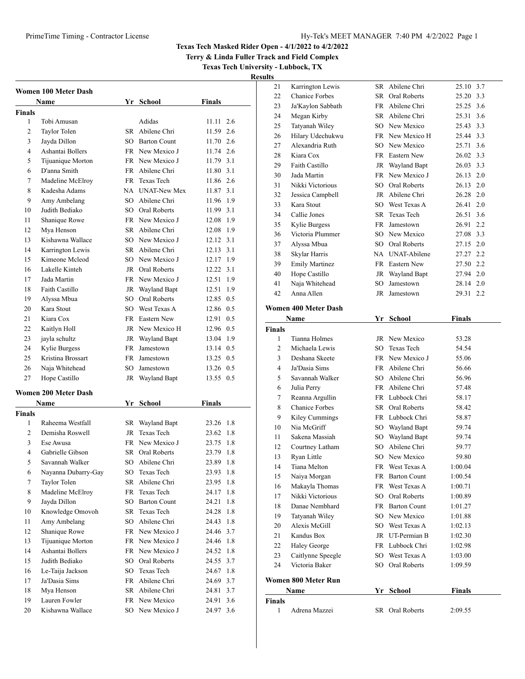**Terry & Linda Fuller Track and Field Complex**

**Texas Tech University - Lubbock, TX**

| Women 100 Meter Dash     |                             |    |                     |                  |
|--------------------------|-----------------------------|----|---------------------|------------------|
|                          | Name                        |    | Yr School           | <b>Finals</b>    |
| <b>Finals</b>            |                             |    |                     |                  |
| 1                        | Tobi Amusan                 |    | Adidas              | 2.6<br>11.11     |
| 2                        | Taylor Tolen                |    | SR Abilene Chri     | 11.59 2.6        |
| 3                        | Jayda Dillon                |    | SO Barton Count     | 11.70 2.6        |
| 4                        | Ashantai Bollers            |    | FR New Mexico J     | 11.74 2.6        |
| 5                        | Tijuanique Morton           |    | FR New Mexico J     | 11.79 3.1        |
| 6                        | D'anna Smith                |    | FR Abilene Chri     | 11.80 3.1        |
| 7                        | Madeline McElroy            |    | FR Texas Tech       | 11.86 2.6        |
| 8                        | Kadesha Adams               |    | NA UNAT-New Mex     | 11.87 3.1        |
| 9                        | Amy Ambelang                |    | SO Abilene Chri     | 11.96 1.9        |
| 10                       | Judith Bediako              |    | SO Oral Roberts     | 11.99 3.1        |
| 11                       | Shanique Rowe               |    | FR New Mexico J     | 12.08 1.9        |
| 12                       | Mya Henson                  |    | SR Abilene Chri     | 12.08 1.9        |
| 13                       | Kishawna Wallace            |    | SO New Mexico J     | 12.12 3.1        |
| 14                       | Karrington Lewis            |    | SR Abilene Chri     | 12.13 3.1        |
| 15                       | Kimeone Mcleod              |    | SO New Mexico J     | 12.17 1.9        |
| 16                       | Lakelle Kinteh              |    | JR Oral Roberts     | 12.22 3.1        |
| 17                       | Jada Martin                 |    | FR New Mexico J     | 12.51<br>1.9     |
| 18                       | Faith Castillo              |    | JR Wayland Bapt     | 12.51 1.9        |
| 19                       | Alyssa Mbua                 |    | SO Oral Roberts     | 12.85 0.5        |
| 20                       | Kara Stout                  |    | SO West Texas A     | 12.86 0.5        |
| 21                       | Kiara Cox                   |    | FR Eastern New      | 12.91 0.5        |
| 22                       | Kaitlyn Holl                |    | JR New Mexico H     | 12.96 0.5        |
| 23                       | jayla schultz               |    | JR Wayland Bapt     | 13.04 1.9        |
| 24                       | Kylie Burgess               |    | FR Jamestown        | 13.14 0.5        |
| 25                       | Kristina Brossart           |    | FR Jamestown        | 13.25 0.5        |
| 26                       | Naja Whitehead              |    | SO Jamestown        | 13.26 0.5        |
| 27                       | Hope Castillo               | JR | Wayland Bapt        | 13.55 0.5        |
|                          | <b>Women 200 Meter Dash</b> |    |                     |                  |
|                          | Name                        |    | Yr School           | Finals           |
| Finals                   |                             |    |                     |                  |
| 1                        | Raheema Westfall            |    | SR Wayland Bapt     | 23.26 1.8        |
| $\overline{c}$           | Demisha Roswell             |    | JR Texas Tech       | 23.62 1.8        |
| 3                        | Ese Awusa                   |    | FR New Mexico J     | 23.75 1.8        |
| $\overline{\mathcal{L}}$ | Gabrielle Gibson            |    | SR Oral Roberts     | 23.79 1.8        |
| $\sim$                   | Savannah Walker             |    | SO Abilene Chri     | 23.89 1.8        |
| 6                        | Nayanna Dubarry-Gay         |    | SO Texas Tech       | 23.93<br>1.8     |
| 7                        | Taylor Tolen                | SR | Abilene Chri        | 23.95<br>1.8     |
| 8                        | Madeline McElroy            | FR | Texas Tech          | 24.17<br>1.8     |
| 9                        | Jayda Dillon                | SO | <b>Barton Count</b> | 24.21<br>1.8     |
| 10                       | Knowledge Omovoh            | SR | Texas Tech          | 24.28<br>1.8     |
| 11                       | Amy Ambelang                | SO | Abilene Chri        | 24.43<br>$1.8\,$ |
| 12                       | Shanique Rowe               |    | FR New Mexico J     | 24.46 3.7        |
| 13                       | Tijuanique Morton           |    | FR New Mexico J     | 24.46 1.8        |
| 14                       | Ashantai Bollers            |    | FR New Mexico J     | 24.52<br>1.8     |
| 15                       | Judith Bediako              |    | SO Oral Roberts     | 24.55 3.7        |
| 16                       | Le-Taija Jackson            | SO | Texas Tech          | 1.8<br>24.67     |
| 17                       | Ja'Dasia Sims               |    | FR Abilene Chri     | 24.69 3.7        |
| 18                       | Mya Henson                  |    | SR Abilene Chri     | 3.7<br>24.81     |
| 19                       | Lauren Fowler               |    | FR New Mexico       | 3.6<br>24.91     |
| 20                       | Kishawna Wallace            |    | SO New Mexico J     | 24.97<br>3.6     |
|                          |                             |    |                     |                  |

| 21                 | Karrington Lewis            |    | SR Abilene Chri | 25.10 3.7     |  |
|--------------------|-----------------------------|----|-----------------|---------------|--|
| 22                 | <b>Chanice Forbes</b>       |    | SR Oral Roberts | 25.20 3.3     |  |
| 23                 | Ja'Kaylon Sabbath           |    | FR Abilene Chri | 25.25 3.6     |  |
| 24                 | Megan Kirby                 |    | SR Abilene Chri | 3.6<br>25.31  |  |
| 25                 | Tatyanah Wiley              |    | SO New Mexico   | 25.43 3.3     |  |
| 26                 | Hilary Udechukwu            |    | FR New Mexico H | 25.44 3.3     |  |
| 27                 | Alexandria Ruth             |    | SO New Mexico   | 3.6<br>25.71  |  |
| 28                 | Kiara Cox                   |    | FR Eastern New  | 26.02 3.3     |  |
| 29                 | Faith Castillo              |    | JR Wayland Bapt | 26.03 3.3     |  |
| 30                 | Jada Martin                 |    | FR New Mexico J | 26.13 2.0     |  |
| 31                 | Nikki Victorious            |    | SO Oral Roberts | 26.13 2.0     |  |
| 32                 | Jessica Campbell            |    | JR Abilene Chri | 26.28 2.0     |  |
| 33                 | Kara Stout                  |    | SO West Texas A | 2.0<br>26.41  |  |
| 34                 | Callie Jones                |    | SR Texas Tech   | 3.6<br>26.51  |  |
| 35                 | Kylie Burgess               |    | FR Jamestown    | 2.2<br>26.91  |  |
| 36                 | Victoria Plummer            |    | SO New Mexico   | 27.08 3.3     |  |
| 37                 | Alyssa Mbua                 |    | SO Oral Roberts | 27.15 2.0     |  |
| 38                 | Skylar Harris               |    | NA UNAT-Abilene | 27.27 2.2     |  |
| 39                 | <b>Emily Martinez</b>       |    | FR Eastern New  | 27.50 2.2     |  |
| 40                 | Hope Castillo               |    | JR Wayland Bapt | 27.94 2.0     |  |
| 41                 | Naja Whitehead              | SO | Jamestown       | 28.14 2.0     |  |
| 42                 | Anna Allen                  |    | JR Jamestown    | 29.31 2.2     |  |
|                    |                             |    |                 |               |  |
|                    | <b>Women 400 Meter Dash</b> |    |                 |               |  |
|                    | Name                        |    | Yr School       | <b>Finals</b> |  |
| <b>Finals</b>      |                             |    |                 |               |  |
| 1                  | Tianna Holmes               |    | JR New Mexico   | 53.28         |  |
| 2                  | Michaela Lewis              |    | SO Texas Tech   | 54.54         |  |
| 3                  | Deshana Skeete              |    | FR New Mexico J | 55.06         |  |
| 4                  | Ja'Dasia Sims               |    | FR Abilene Chri | 56.66         |  |
| 5                  | Savannah Walker             |    | SO Abilene Chri | 56.96         |  |
| 6                  | Julia Perry                 |    | FR Abilene Chri | 57.48         |  |
| 7                  | Reanna Argullin             |    | FR Lubbock Chri | 58.17         |  |
| 8                  | <b>Chanice Forbes</b>       |    | SR Oral Roberts | 58.42         |  |
| 9                  | Kiley Cummings              |    | FR Lubbock Chri | 58.87         |  |
| 10                 | Nia McGriff                 |    | SO Wayland Bapt | 59.74         |  |
| 11                 | Sakena Massiah              |    | SO Wayland Bapt | 59.74         |  |
| 12                 | Courtney Latham             |    | SO Abilene Chri | 59.77         |  |
| 13                 | Ryan Little                 |    | SO New Mexico   |               |  |
|                    |                             |    |                 | 59.80         |  |
| 14                 | Tiana Melton                |    | FR West Texas A | 1:00.04       |  |
| 15                 | Naiya Morgan                |    | FR Barton Count | 1:00.54       |  |
| 16                 | Makayla Thomas              |    | FR West Texas A | 1:00.71       |  |
| 17                 | Nikki Victorious            |    | SO Oral Roberts | 1:00.89       |  |
| 18                 | Danae Nembhard              |    | FR Barton Count | 1:01.27       |  |
| 19                 | Tatyanah Wiley              |    | SO New Mexico   | 1:01.88       |  |
| 20                 | Alexis McGill               |    | SO West Texas A | 1:02.13       |  |
| 21                 | Kandus Box                  |    | JR UT-Permian B | 1:02.30       |  |
| 22                 | <b>Haley George</b>         |    | FR Lubbock Chri | 1:02.98       |  |
| 23                 | Caitlynne Speegle           |    | SO West Texas A | 1:03.00       |  |
| 24                 | Victoria Baker              |    | SO Oral Roberts | 1:09.59       |  |
|                    |                             |    |                 |               |  |
|                    | Women 800 Meter Run         |    |                 |               |  |
|                    | <b>Name</b>                 |    | Yr School       | <b>Finals</b> |  |
| <b>Finals</b><br>1 | Adrena Mazzei               |    | SR Oral Roberts | 2:09.55       |  |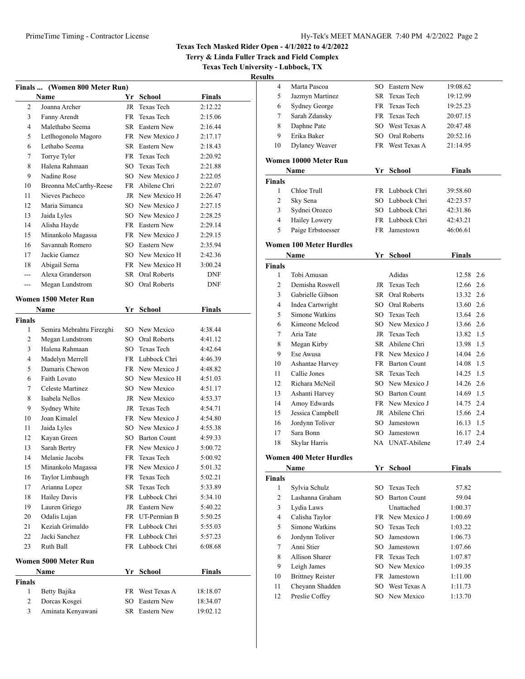Jazmyn Martinez SR Texas Tech 19:12.99

### **Texas Tech Masked Rider Open - 4/1/2022 to 4/2/2022**

**Terry & Linda Fuller Track and Field Complex**

**Texas Tech University - Lubbock, TX**

| <b>Results</b> |              |                |          |
|----------------|--------------|----------------|----------|
|                | Marta Pascoa | SO Eastern New | 19:08.62 |

| Finals  (Women 800 Meter Run)      |                          |        |                 |               |  |
|------------------------------------|--------------------------|--------|-----------------|---------------|--|
|                                    | Name                     |        | Yr School       | <b>Finals</b> |  |
| 2                                  | Joanna Archer            | JR     | Texas Tech      | 2:12.22       |  |
| 3                                  | Fanny Arendt             | FR 1   | Texas Tech      | 2:15.06       |  |
| 4                                  | Malethabo Seema          |        | SR Eastern New  | 2:16.44       |  |
| 5                                  | Letlhogonolo Magoro      |        | FR New Mexico J | 2:17.17       |  |
| 6                                  | Lethabo Seema            |        | SR Eastern New  | 2:18.43       |  |
| 7                                  | Torrye Tyler             |        | FR Texas Tech   | 2:20.92       |  |
| 8                                  | Halena Rahmaan           | $SO^-$ | Texas Tech      | 2:21.88       |  |
| 9                                  | Nadine Rose              |        | SO New Mexico J | 2:22.05       |  |
| 10                                 | Breonna McCarthy-Reese   |        | FR Abilene Chri | 2:22.07       |  |
| 11                                 | Nieves Pacheco           |        | JR New Mexico H | 2:26.47       |  |
| 12                                 | Maria Simanca            |        | SO New Mexico J | 2:27.15       |  |
| 13                                 | Jaida Lyles              |        | SO New Mexico J | 2:28.25       |  |
| 14                                 | Alisha Hayde             |        | FR Eastern New  | 2:29.14       |  |
| 15                                 | Minankolo Magassa        |        | FR New Mexico J | 2:29.15       |  |
| 16                                 | Savannah Romero          |        | SO Eastern New  | 2:35.94       |  |
| 17                                 | Jackie Gamez             |        | SO New Mexico H | 2:42.36       |  |
| 18                                 | Abigail Serna            |        | FR New Mexico H | 3:00.24       |  |
| ---                                | Alexa Granderson         |        | SR Oral Roberts | DNF           |  |
| ---                                | Megan Lundstrom          |        | SO Oral Roberts | <b>DNF</b>    |  |
|                                    | Women 1500 Meter Run     |        |                 |               |  |
|                                    | Name                     |        | Yr School       | <b>Finals</b> |  |
| <b>Finals</b>                      |                          |        |                 |               |  |
| 1                                  | Semira Mebrahtu Firezghi |        | SO New Mexico   | 4:38.44       |  |
| 2                                  | Megan Lundstrom          |        | SO Oral Roberts | 4:41.12       |  |
| 3                                  | Halena Rahmaan           |        | SO Texas Tech   | 4:42.64       |  |
| 4                                  | Madelyn Merrell          |        | FR Lubbock Chri | 4:46.39       |  |
| 5                                  | Damaris Chewon           |        | FR New Mexico J | 4:48.82       |  |
| 6                                  | Faith Lovato             |        | SO New Mexico H | 4:51.03       |  |
| 7                                  | Celeste Martinez         |        | SO New Mexico   | 4:51.17       |  |
| 8                                  | Isabela Nellos           |        | JR New Mexico   | 4:53.37       |  |
| 9                                  | Sydney White             |        | JR Texas Tech   | 4:54.71       |  |
| 10                                 | Joan Kimalel             |        | FR New Mexico J | 4:54.80       |  |
| 11                                 | Jaida Lyles              |        | SO New Mexico J | 4:55.38       |  |
| 12                                 | Kayan Green              |        | SO Barton Count | 4:59.33       |  |
| 13                                 | Sarah Bertry             |        | FR New Mexico J | 5:00.72       |  |
| 14                                 | Melanie Jacobs           |        | FR Texas Tech   | 5:00.92       |  |
| 15                                 | Minankolo Magassa        |        | FR New Mexico J | 5:01.32       |  |
| 16                                 | Taylor Limbaugh          | FR.    | Texas Tech      | 5:02.21       |  |
| 17                                 | Arianna Lopez            | SR     | Texas Tech      | 5:33.89       |  |
| 18                                 | <b>Hailey Davis</b>      |        | FR Lubbock Chri | 5:34.10       |  |
| 19                                 | Lauren Griego            |        | JR Eastern New  | 5:40.22       |  |
| 20                                 | Odalis Lujan             |        | FR UT-Permian B | 5:50.25       |  |
| 21                                 | Keziah Grimaldo          |        | FR Lubbock Chri | 5:55.03       |  |
| 22                                 | Jacki Sanchez            |        | FR Lubbock Chri | 5:57.23       |  |
| 23                                 | Ruth Ball                |        | FR Lubbock Chri | 6:08.68       |  |
|                                    | Women 5000 Meter Run     |        |                 |               |  |
| Yr School<br><b>Finals</b><br>Name |                          |        |                 |               |  |
| <b>Finals</b>                      |                          |        |                 |               |  |
| 1                                  | Betty Bajika             |        | FR West Texas A | 18:18.07      |  |
| 2                                  | Dorcas Kosgei            | SO     | Eastern New     | 18:34.07      |  |
| 3                                  | Aminata Kenyawani        |        | SR Eastern New  | 19:02.12      |  |
|                                    |                          |        |                 |               |  |

| 6             | <b>Sydney George</b>           | FR | Texas Tech          | 19:25.23      |  |
|---------------|--------------------------------|----|---------------------|---------------|--|
| 7             | Sarah Zdansky                  |    | FR Texas Tech       | 20:07.15      |  |
| 8             | Daphne Pate                    |    | SO West Texas A     | 20:47.48      |  |
| 9             | Erika Baker                    |    | SO Oral Roberts     | 20:52.16      |  |
| 10            | <b>Dylaney Weaver</b>          |    | FR West Texas A     | 21:14.95      |  |
|               | Women 10000 Meter Run          |    |                     |               |  |
|               | Name                           |    | Yr School           | <b>Finals</b> |  |
| Finals        |                                |    |                     |               |  |
| 1             | Chloe Trull                    |    | FR Lubbock Chri     | 39:58.60      |  |
| 2             | Sky Sena                       |    | SO Lubbock Chri     | 42:23.57      |  |
| 3             | Sydnei Orozco                  |    | SO Lubbock Chri     | 42:31.86      |  |
| 4             | Hailey Lowery                  |    | FR Lubbock Chri     | 42:43.21      |  |
| 5             | Paige Erbstoesser              |    | FR Jamestown        | 46:06.61      |  |
|               |                                |    |                     |               |  |
|               | <b>Women 100 Meter Hurdles</b> |    |                     |               |  |
|               | Name                           |    | Yr School           | Finals        |  |
| <b>Finals</b> |                                |    |                     |               |  |
| 1             | Tobi Amusan                    |    | Adidas              | 12.58 2.6     |  |
| 2             | Demisha Roswell                |    | JR Texas Tech       | 12.66 2.6     |  |
| 3             | Gabrielle Gibson               |    | SR Oral Roberts     | 13.32 2.6     |  |
| 4             | Indea Cartwright               |    | SO Oral Roberts     | 13.60 2.6     |  |
| 5             | Simone Watkins                 |    | SO Texas Tech       | 13.64 2.6     |  |
| 6             | Kimeone Mcleod                 |    | SO New Mexico J     | 13.66 2.6     |  |
| 7             | Aria Tate                      |    | JR Texas Tech       | 13.82 1.5     |  |
| 8             | Megan Kirby                    |    | SR Abilene Chri     | 13.98 1.5     |  |
| 9             | Ese Awusa                      |    | FR New Mexico J     | 14.04 2.6     |  |
| 10            | Ashantae Harvey                |    | FR Barton Count     | 14.08 1.5     |  |
| 11            | Callie Jones                   |    | SR Texas Tech       | 14.25 1.5     |  |
| 12            | Richara McNeil                 |    | SO New Mexico J     | 14.26 2.6     |  |
| 13            | Ashanti Harvey                 |    | SO Barton Count     | 14.69 1.5     |  |
| 14            | Amoy Edwards                   |    | FR New Mexico J     | 14.75 2.4     |  |
| 15            | Jessica Campbell               |    | JR Abilene Chri     | 15.66 2.4     |  |
| 16            | Jordynn Toliver                |    | SO Jamestown        | 16.13 1.5     |  |
| 17            | Sara Bonn                      |    | SO Jamestown        | 16.17 2.4     |  |
| 18            | Skylar Harris                  |    | NA UNAT-Abilene     | 17.49 2.4     |  |
|               | <b>Women 400 Meter Hurdles</b> |    |                     |               |  |
|               | Name                           |    | Yr School           | Finals        |  |
| Finals        |                                |    |                     |               |  |
| 1             | Sylvia Schulz                  | SO | Texas Tech          | 57.82         |  |
| 2             | Lashanna Graham                | SO | <b>Barton Count</b> | 59.04         |  |
| 3             | Lydia Laws                     |    | Unattached          | 1:00.37       |  |
| 4             | Calisha Taylor                 |    | FR New Mexico J     | 1:00.69       |  |
| 5             | Simone Watkins                 | SO | Texas Tech          | 1:03.22       |  |
| 6             | Jordynn Toliver                |    | SO Jamestown        | 1:06.73       |  |
| 7             | Anni Stier                     |    | SO Jamestown        | 1:07.66       |  |
| 8             | Allison Sharer                 |    | FR Texas Tech       | 1:07.87       |  |
| 9             | Leigh James                    | SO | New Mexico          | 1:09.35       |  |
| 10            | <b>Brittney Reister</b>        | FR | Jamestown           | 1:11.00       |  |
| 11            | Cheyann Shadden                | SO | West Texas A        | 1:11.73       |  |
| 12            | Preslie Coffey                 |    | SO New Mexico       | 1:13.70       |  |
|               |                                |    |                     |               |  |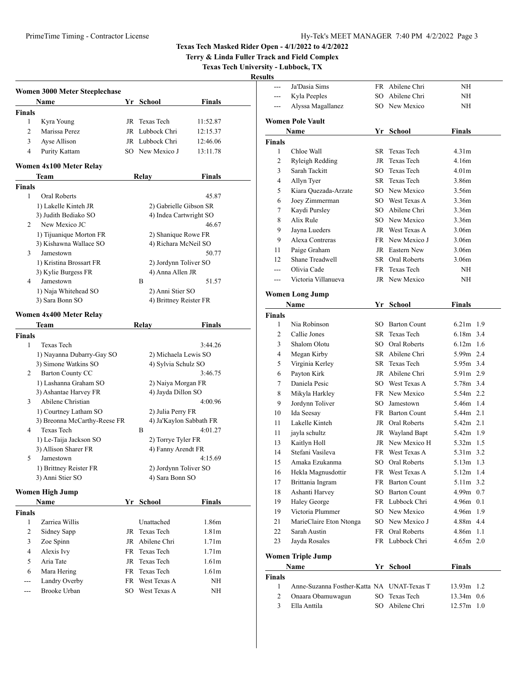**Terry & Linda Fuller Track and Field Complex**

**Texas Tech University - Lubbock, TX**

| н<br>۰.<br>II |  |
|---------------|--|
|               |  |

l,

Ĭ,

|                    | <b>Women 3000 Meter Steeplechase</b>                  |    |                                              |                   |
|--------------------|-------------------------------------------------------|----|----------------------------------------------|-------------------|
|                    | <b>Name</b>                                           |    | Yr School                                    | <b>Finals</b>     |
| <b>Finals</b>      |                                                       |    |                                              |                   |
| 1                  | Kyra Young                                            | JR | Texas Tech                                   | 11:52.87          |
| 2                  | Marissa Perez                                         |    | JR Lubbock Chri                              | 12:15.37          |
| 3                  | Ayse Allison                                          |    | JR Lubbock Chri                              | 12:46.06          |
| 4                  | Purity Kattam                                         |    | SO New Mexico J                              | 13:11.78          |
|                    | Women 4x100 Meter Relay                               |    |                                              |                   |
|                    | Team                                                  |    | Relay                                        | Finals            |
| <b>Finals</b>      |                                                       |    |                                              |                   |
| 1                  | <b>Oral Roberts</b>                                   |    |                                              | 45.87             |
|                    | 1) Lakelle Kinteh JR                                  |    | 2) Gabrielle Gibson SR                       |                   |
|                    | 3) Judith Bediako SO                                  |    | 4) Indea Cartwright SO                       |                   |
| 2                  | New Mexico JC                                         |    |                                              | 46.67             |
|                    | 1) Tijuanique Morton FR                               |    | 2) Shanique Rowe FR                          |                   |
|                    | 3) Kishawna Wallace SO                                |    | 4) Richara McNeil SO                         |                   |
| 3                  | Jamestown                                             |    |                                              | 50.77             |
|                    | 1) Kristina Brossart FR                               |    | 2) Jordynn Toliver SO                        |                   |
|                    | 3) Kylie Burgess FR                                   |    | 4) Anna Allen JR                             |                   |
| 4                  | Jamestown                                             |    | B                                            | 51.57             |
|                    | 1) Naja Whitehead SO                                  |    | 2) Anni Stier SO                             |                   |
|                    | 3) Sara Bonn SO                                       |    | 4) Brittney Reister FR                       |                   |
|                    | Women 4x400 Meter Relay                               |    |                                              |                   |
|                    |                                                       |    |                                              |                   |
|                    | Team                                                  |    | Relay                                        | Finals            |
| <b>Finals</b><br>1 |                                                       |    |                                              | 3:44.26           |
|                    | Texas Tech                                            |    |                                              |                   |
|                    | 1) Nayanna Dubarry-Gay SO                             |    | 2) Michaela Lewis SO                         |                   |
| 2                  | 3) Simone Watkins SO<br><b>Barton County CC</b>       |    | 4) Sylvia Schulz SO                          | 3:46.75           |
|                    |                                                       |    |                                              |                   |
|                    | 1) Lashanna Graham SO                                 |    | 2) Naiya Morgan FR<br>4) Jayda Dillon SO     |                   |
| 3                  | 3) Ashantae Harvey FR<br>Abilene Christian            |    |                                              | 4:00.96           |
|                    |                                                       |    |                                              |                   |
|                    | 1) Courtney Latham SO<br>3) Breonna McCarthy-Reese FR |    | 2) Julia Perry FR<br>4) Ja'Kaylon Sabbath FR |                   |
| 4                  | Texas Tech                                            |    | B                                            | 4:01.27           |
|                    | 1) Le-Taija Jackson SO                                |    | 2) Torrye Tyler FR                           |                   |
|                    | 3) Allison Sharer FR                                  |    | 4) Fanny Arendt FR                           |                   |
| 5                  | Jamestown                                             |    |                                              | 4:15.69           |
|                    | 1) Brittney Reister FR                                |    | 2) Jordynn Toliver SO                        |                   |
|                    | 3) Anni Stier SO                                      |    | 4) Sara Bonn SO                              |                   |
|                    |                                                       |    |                                              |                   |
|                    | Women High Jump                                       |    |                                              |                   |
|                    | Name                                                  |    | Yr School                                    | <b>Finals</b>     |
| <b>Finals</b>      |                                                       |    |                                              |                   |
| 1                  | Zarriea Willis                                        |    | Unattached                                   | 1.86m             |
| 2                  | Sidney Sapp                                           | JR | Texas Tech                                   | 1.81 <sub>m</sub> |
| 3                  | Zoe Spinn                                             | JR | Abilene Chri                                 | 1.71 <sub>m</sub> |
| $\overline{4}$     | Alexis Ivy                                            |    | FR Texas Tech                                | 1.71 <sub>m</sub> |
| 5                  | Aria Tate                                             |    | JR Texas Tech                                | 1.61m             |
| 6                  | Mara Hering                                           |    | FR Texas Tech                                | 1.61 <sub>m</sub> |
|                    | Landry Overby                                         |    | FR West Texas A                              | NΗ                |
| ---                | Brooke Urban                                          |    | SO West Texas A                              | NΗ                |
|                    |                                                       |    |                                              |                   |

| lts          |                                            |    |                                    |                        |  |
|--------------|--------------------------------------------|----|------------------------------------|------------------------|--|
| ---          | Ja'Dasia Sims                              |    | FR Abilene Chri                    | NH                     |  |
| ---          | Kyla Peeples                               |    | SO Abilene Chri                    | NΗ                     |  |
| ---          | Alyssa Magallanez                          |    | SO New Mexico                      | NΗ                     |  |
|              |                                            |    |                                    |                        |  |
|              | <b>Women Pole Vault</b>                    |    |                                    |                        |  |
|              | Name                                       | Yr | School                             | Finals                 |  |
| Finals       |                                            |    |                                    |                        |  |
| 1            | Chloe Wall                                 |    | SR Texas Tech                      | 4.31 <sub>m</sub>      |  |
| 2            | Ryleigh Redding                            |    | JR Texas Tech                      | 4.16m                  |  |
| 3            | Sarah Tackitt                              |    | SO Texas Tech                      | 4.01 <sub>m</sub>      |  |
| 4            | Allyn Tyer                                 |    | SR Texas Tech                      | 3.86m                  |  |
| 5            | Kiara Quezada-Arzate                       |    | SO New Mexico                      | 3.56m                  |  |
| 6            | Joey Zimmerman                             |    | SO West Texas A                    | 3.36m                  |  |
| 7            | Kaydi Pursley                              |    | SO Abilene Chri                    | 3.36m                  |  |
| 8            | Alix Rule                                  |    | SO New Mexico                      | 3.36m                  |  |
| 9            | Jayna Lueders                              |    | JR West Texas A                    | 3.06 <sub>m</sub>      |  |
| 9            | Alexa Contreras                            |    | FR New Mexico J                    | 3.06 <sub>m</sub>      |  |
| 11           | Paige Graham                               |    | JR Eastern New                     | 3.06 <sub>m</sub>      |  |
| 12           | Shane Treadwell                            |    | SR Oral Roberts                    | 3.06 <sub>m</sub>      |  |
| ---          | Olivia Cade                                |    | FR Texas Tech                      | NH                     |  |
| $-$ --       | Victoria Villanueva                        |    | JR New Mexico                      | NΗ                     |  |
|              | <b>Women Long Jump</b>                     |    |                                    |                        |  |
|              | Name                                       |    | Yr School                          | Finals                 |  |
| Finals       |                                            |    |                                    |                        |  |
| 1            | Nia Robinson                               |    | SO Barton Count                    | $6.21m$ 1.9            |  |
| 2            | Callie Jones                               |    | SR Texas Tech                      | $6.18m$ 3.4            |  |
| 3            | Shalom Olotu                               |    | SO Oral Roberts                    | $6.12m$ 1.6            |  |
| 4            | Megan Kirby                                |    | SR Abilene Chri                    | 5.99m 2.4              |  |
| 5            | Virginia Kerley                            |    | SR Texas Tech                      | 5.95m 3.4              |  |
| 6            | Payton Kirk                                |    | JR Abilene Chri                    | 5.91m 2.9              |  |
| 7            | Daniela Pesic                              |    | SO West Texas A                    | 5.78m 3.4              |  |
| 8            | Mikyla Harkley                             |    | FR New Mexico                      | 5.54m 2.2              |  |
| 9            | Jordynn Toliver                            |    | SO Jamestown                       | 5.46m 1.4              |  |
| 10           | Ida Seesay                                 |    | FR Barton Count                    | 5.44m 2.1              |  |
| 11           | Lakelle Kinteh                             |    | JR Oral Roberts                    | 5.42m 2.1              |  |
|              |                                            |    |                                    | 5.42m 1.9              |  |
| 11           | jayla schultz                              |    | JR Wayland Bapt<br>JR New Mexico H | $5.32m$ 1.5            |  |
| 13           | Kaitlyn Holl<br>Stefani Vasileva           |    | FR West Texas A                    | 5.31m 3.2              |  |
| 14           |                                            |    |                                    |                        |  |
| 15           | Amaka Ezukanma                             | SO | Oral Roberts<br>West Texas A       | 5.13m 1.3<br>5.12m 1.4 |  |
| 16           | Hekla Magnusdottir                         | FR |                                    |                        |  |
| 17<br>18     | Brittania Ingram                           |    | FR Barton Count                    | 5.11m 3.2<br>4.99m 0.7 |  |
|              | Ashanti Harvey                             |    | SO Barton Count                    |                        |  |
| 19           | <b>Haley George</b><br>Victoria Plummer    |    | FR Lubbock Chri                    | 4.96m 0.1<br>4.96m 1.9 |  |
| 19           |                                            |    | SO New Mexico                      |                        |  |
| 21           | MarieClaire Eton Ntonga                    |    | SO New Mexico J                    | 4.88m 4.4              |  |
| 22           | Sarah Austin                               |    | FR Oral Roberts                    | $4.86m$ 1.1            |  |
| 23           | Jayda Rosales                              |    | FR Lubbock Chri                    | 4.65m 2.0              |  |
|              | Women Triple Jump                          |    |                                    |                        |  |
|              | Name                                       |    | Yr School                          | <b>Finals</b>          |  |
| Finals       |                                            |    |                                    |                        |  |
| 1            | Anne-Suzanna Fosther-Katta NA UNAT-Texas T |    |                                    | 13.93m 1.2             |  |
| $\mathbf{2}$ | Onaara Obamuwagun                          | SO | Texas Tech                         | 13.34m 0.6             |  |
| 3            | Ella Anttila                               | SO | Abilene Chri                       | 12.57m 1.0             |  |
|              |                                            |    |                                    |                        |  |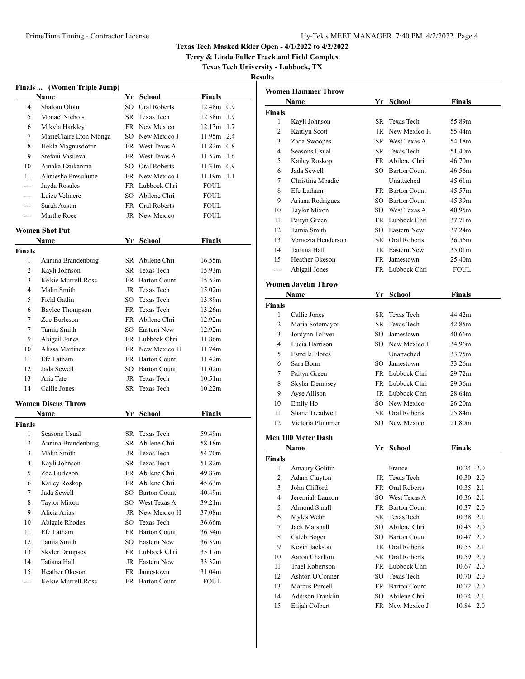**Terry & Linda Fuller Track and Field Complex**

**Texas Tech University - Lubbock, TX**

|               | Finals  (Women Triple Jump) |    |                        |                    |  |
|---------------|-----------------------------|----|------------------------|--------------------|--|
|               | Name                        |    | Yr School              | Finals             |  |
| 4             | Shalom Olotu                |    | SO Oral Roberts        | 12.48m 0.9         |  |
| 5             | Monae' Nichols              |    | SR Texas Tech          | 12.38m 1.9         |  |
| 6             | Mikyla Harkley              |    | FR New Mexico          | 12.13m 1.7         |  |
| 7             | MarieClaire Eton Ntonga     |    | SO New Mexico J        | 11.95m 2.4         |  |
| 8             | Hekla Magnusdottir          |    | FR West Texas A        | $11.82m$ 0.8       |  |
| 9             | Stefani Vasileva            |    | FR West Texas A        | $11.57m$ 1.6       |  |
| 10            | Amaka Ezukanma              |    | SO Oral Roberts        | 11.31m 0.9         |  |
| 11            | Ahniesha Presulume          |    | FR New Mexico J        | $11.19m$ 1.1       |  |
| ---           | Jayda Rosales               |    | FR Lubbock Chri        | <b>FOUL</b>        |  |
| ---           | Luize Velmere               |    | SO Abilene Chri        | FOUL               |  |
| ---           | Sarah Austin                |    | <b>FR</b> Oral Roberts | <b>FOUL</b>        |  |
| ---           | Marthe Roee                 |    | JR New Mexico          | FOUL               |  |
|               | <b>Women Shot Put</b>       |    |                        |                    |  |
|               | Name                        |    | Yr School              | Finals             |  |
| <b>Finals</b> |                             |    |                        |                    |  |
| 1             | Annina Brandenburg          |    | SR Abilene Chri        | 16.55m             |  |
| 2             | Kayli Johnson               |    | SR Texas Tech          | 15.93m             |  |
| 3             | Kelsie Murrell-Ross         |    | FR Barton Count        | 15.52m             |  |
| 4             | Malin Smith                 |    | JR Texas Tech          | 15.02m             |  |
| 5             | <b>Field Gatlin</b>         |    | SO Texas Tech          | 13.89m             |  |
| 6             | Baylee Thompson             |    | FR Texas Tech          | 13.26m             |  |
| 7             | Zoe Burleson                |    | FR Abilene Chri        | 12.92m             |  |
| 7             | Tamia Smith                 |    | SO Eastern New         | 12.92m             |  |
| 9             | Abigail Jones               |    | FR Lubbock Chri        | 11.86m             |  |
| 10            | Alissa Martinez             |    | FR New Mexico H        | 11.74m             |  |
| 11            | Efe Latham                  |    | FR Barton Count        | 11.42m             |  |
| 12            | Jada Sewell                 |    | SO Barton Count        | 11.02m             |  |
| 13            | Aria Tate                   |    | JR Texas Tech          | 10.51 <sub>m</sub> |  |
| 14            | Callie Jones                |    | SR Texas Tech          | 10.22m             |  |
|               | <b>Women Discus Throw</b>   |    |                        |                    |  |
|               | Name                        |    | Yr School              | <b>Finals</b>      |  |
| Finals        |                             |    |                        |                    |  |
| 1             | Seasons Usual               |    | SR Texas Tech          | 59.49m             |  |
| 2             | Annina Brandenburg          |    | SR Abilene Chri        | 58.18m             |  |
| 3             | Malin Smith                 | JR | Texas Tech             | 54.70m             |  |
| 4             | Kayli Johnson               | SR | Texas Tech             | 51.82m             |  |
| 5             | Zoe Burleson                |    | FR Abilene Chri        | 49.87m             |  |
| 6             | Kailey Roskop               |    | FR Abilene Chri        | 45.63m             |  |
| 7             | Jada Sewell                 |    | SO Barton Count        | 40.49m             |  |
| 8             | Taylor Mixon                |    | SO West Texas A        | 39.21m             |  |
| 9             | Alicia Arias                |    | JR New Mexico H        | 37.08m             |  |
| 10            | Abigale Rhodes              |    | SO Texas Tech          | 36.66m             |  |
| 11            | Efe Latham                  |    | FR Barton Count        | 36.54m             |  |
| 12            | Tamia Smith                 |    | SO Eastern New         | 36.39m             |  |
| 13            | <b>Skyler Dempsey</b>       |    | FR Lubbock Chri        | 35.17m             |  |
| 14            | Tatiana Hall                |    | JR Eastern New         | 33.32m             |  |
| 15            | Heather Okeson              |    | FR Jamestown           | 31.04m             |  |
| ---           | Kelsie Murrell-Ross         |    | FR Barton Count        | FOUL               |  |

|                         | Women Hammer Throw         |    |                 |               |
|-------------------------|----------------------------|----|-----------------|---------------|
|                         | Name                       |    | Yr School       | <b>Finals</b> |
| Finals                  |                            |    |                 |               |
| 1                       | Kayli Johnson              |    | SR Texas Tech   | 55.89m        |
| 2                       | Kaitlyn Scott              |    | JR New Mexico H | 55.44m        |
| 3                       | Zada Swoopes               |    | SR West Texas A | 54.18m        |
| 4                       | Seasons Usual              |    | SR Texas Tech   | 51.40m        |
| 5                       | Kailey Roskop              |    | FR Abilene Chri | 46.70m        |
| 6                       | Jada Sewell                |    | SO Barton Count | 46.56m        |
| 7                       | Christina Mhadie           |    | Unattached      | 45.61m        |
| 8                       | Efe Latham                 |    | FR Barton Count | 45.57m        |
| 9                       | Ariana Rodriguez           |    | SO Barton Count | 45.39m        |
| 10                      | Taylor Mixon               |    | SO West Texas A | 40.95m        |
| 11                      | Paityn Green               |    | FR Lubbock Chri | 37.71m        |
| 12                      | Tamia Smith                |    | SO Eastern New  | 37.24m        |
| 13                      | Vernezia Henderson         |    | SR Oral Roberts | 36.56m        |
| 14                      | Tatiana Hall               |    | JR Eastern New  | 35.01m        |
| 15                      | Heather Okeson             |    | FR Jamestown    | 25.40m        |
| ---                     | Abigail Jones              |    | FR Lubbock Chri | <b>FOUL</b>   |
|                         | <b>Women Javelin Throw</b> |    |                 |               |
|                         | Name                       |    | Yr School       | Finals        |
| <b>Finals</b>           |                            |    |                 |               |
| 1                       | Callie Jones               |    | SR Texas Tech   | 44.42m        |
| 2                       | Maria Sotomayor            |    | SR Texas Tech   | 42.85m        |
| 3                       | Jordynn Toliver            |    | SO Jamestown    | 40.66m        |
| 4                       | Lucia Harrison             |    | SO New Mexico H | 34.96m        |
| 5                       | <b>Estrella Flores</b>     |    | Unattached      | 33.75m        |
| 6                       | Sara Bonn                  |    | SO Jamestown    | 33.26m        |
| 7                       | Paityn Green               |    | FR Lubbock Chri | 29.72m        |
| 8                       | <b>Skyler Dempsey</b>      |    | FR Lubbock Chri | 29.36m        |
| 9                       | Ayse Allison               |    | JR Lubbock Chri | 28.64m        |
| 10                      | Emily Ho                   |    | SO New Mexico   | 26.20m        |
| 11                      | Shane Treadwell            |    | SR Oral Roberts | 25.84m        |
| 12                      | Victoria Plummer           |    | SO New Mexico   | 21.80m        |
|                         | Men 100 Meter Dash         |    |                 |               |
|                         | Name                       | Yr | School          | Finals        |
| Finals                  |                            |    |                 |               |
| 1                       | Amaury Golitin             |    | France          | 10.24 2.0     |
| $\overline{\mathbf{c}}$ | Adam Clayton               | JR | Texas Tech      | 10.30 2.0     |
| 3                       | John Clifford              | FR | Oral Roberts    | 10.35<br>2.1  |
| 4                       | Jeremiah Lauzon            |    | SO West Texas A | 10.36 2.1     |
| 5                       | Almond Small               |    | FR Barton Count | 2.0<br>10.37  |
| 6                       | Myles Webb                 |    | SR Texas Tech   | 2.1<br>10.38  |
| 7                       | Jack Marshall              |    | SO Abilene Chri | 2.0<br>10.45  |
| 8                       | Caleb Boger                |    | SO Barton Count | 2.0<br>10.47  |
| 9                       | Kevin Jackson              |    | JR Oral Roberts | 2.1<br>10.53  |
| 10                      | Aaron Charlton             |    | SR Oral Roberts | 2.0<br>10.59  |
| 11                      | <b>Trael Robertson</b>     |    | FR Lubbock Chri | 2.0<br>10.67  |
| 12                      | Ashton O'Conner            |    | SO Texas Tech   | 2.0<br>10.70  |
| 13                      | Marcus Purcell             |    | FR Barton Count | 2.0<br>10.72  |
| 14                      | Addison Franklin           |    | SO Abilene Chri | 2.1<br>10.74  |
| 15                      | Elijah Colbert             |    | FR New Mexico J | 2.0<br>10.84  |
|                         |                            |    |                 |               |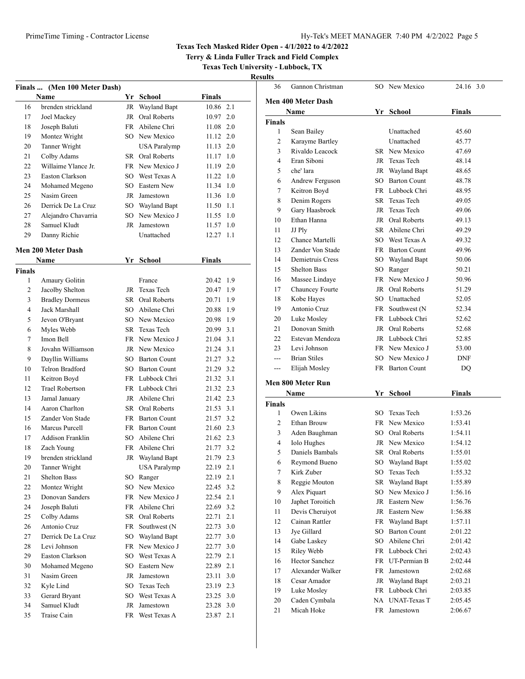### PrimeTime Timing - Contractor License Hy-Tek's MEET MANAGER 7:40 PM 4/2/2022 Page 5

### **Texas Tech Masked Rider Open - 4/1/2022 to 4/2/2022**

**Terry & Linda Fuller Track and Field Complex**

**Texas Tech University - Lubbock, TX**

|        | Finals  (Men 100 Meter Dash)              |    |                     |                        |     |
|--------|-------------------------------------------|----|---------------------|------------------------|-----|
|        | Name                                      |    | Yr School           | <b>Finals</b>          |     |
| 16     | brenden strickland                        |    | JR Wayland Bapt     | 10.86 2.1              |     |
| 17     | Joel Mackey                               |    | JR Oral Roberts     | 10.97                  | 2.0 |
| 18     | Joseph Baluti                             |    | FR Abilene Chri     | 11.08                  | 2.0 |
| 19     | Montez Wright                             |    | SO New Mexico       | 11.12                  | 2.0 |
| 20     | Tanner Wright                             |    | <b>USA Paralymp</b> | 11.13                  | 2.0 |
| 21     | Colby Adams                               |    | SR Oral Roberts     | 11.17                  | 1.0 |
| 22     | Willaime Ylance Jr.                       |    | FR New Mexico J     | 11.19 2.0              |     |
| 23     | Easton Clarkson                           |    | SO West Texas A     | $11.22 \quad 1.0$      |     |
| 24     | Mohamed Megeno                            |    | SO Eastern New      | 11.34                  | 1.0 |
| 25     | Nasim Green                               |    | JR Jamestown        | 11.36 1.0              |     |
| 26     | Derrick De La Cruz                        |    | SO Wayland Bapt     | 11.50 1.1              |     |
| 27     | Alejandro Chavarria                       | SO | New Mexico J        | 11.55                  | 1.0 |
| 28     | Samuel Kludt                              |    | JR Jamestown        | 11.57                  | 1.0 |
| 29     | Danny Richie                              |    | Unattached          | 12.27 1.1              |     |
|        | <b>Men 200 Meter Dash</b>                 |    |                     |                        |     |
|        | Name                                      |    | Yr School           | Finals                 |     |
| Finals |                                           |    |                     |                        |     |
| 1      | <b>Amaury Golitin</b>                     |    | France              | 20.42                  | 1.9 |
| 2      | Jacolby Shelton                           |    | JR Texas Tech       | 20.47                  | 1.9 |
| 3      | <b>Bradley Dormeus</b>                    |    | SR Oral Roberts     | 20.71                  | 1.9 |
| 4      | <b>Jack Marshall</b>                      |    | SO Abilene Chri     | 20.88                  | 1.9 |
| 5      | Jevon O'Bryant                            |    | SO New Mexico       | 20.98 1.9              |     |
| 6      | Myles Webb                                |    | SR Texas Tech       | 20.99 3.1              |     |
| 7      | Imon Bell                                 |    | FR New Mexico J     | 21.04 3.1              |     |
| 8      | Jovahn Williamson                         |    | JR New Mexico       | 21.24 3.1              |     |
| 9      | Dayllin Williams                          |    | SO Barton Count     | 21.27 3.2              |     |
| 10     | Telron Bradford                           |    | SO Barton Count     | 21.29 3.2              |     |
| 11     | Keitron Boyd                              |    | FR Lubbock Chri     | 21.32                  | 3.1 |
| 12     | <b>Trael Robertson</b>                    |    | FR Lubbock Chri     | 21.32 2.3              |     |
| 13     |                                           |    | JR Abilene Chri     | 21.42 2.3              |     |
| 14     | Jamal January<br>Aaron Charlton           |    | SR Oral Roberts     | 21.53 3.1              |     |
| 15     | Zander Von Stade                          |    | FR Barton Count     | 21.57 3.2              |     |
|        |                                           |    |                     |                        |     |
| 16     | Marcus Purcell<br><b>Addison Franklin</b> |    | FR Barton Count     | 21.60 2.3<br>21.62 2.3 |     |
| 17     |                                           |    | SO Abilene Chri     |                        |     |
| 18     | Zach Young                                |    | FR Abilene Chri     | 21.77 3.2              |     |
| 19     | brenden strickland                        | JR | Wayland Bapt        | 21.79                  | 2.3 |
| 20     | Tanner Wright<br><b>Shelton Bass</b>      |    | <b>USA Paralymp</b> | 22.19                  | 2.1 |
| 21     |                                           |    | SO Ranger           | 22.19                  | 2.1 |
| 22     | Montez Wright                             |    | SO New Mexico       | 22.45                  | 3.2 |
| 23     | Donovan Sanders                           |    | FR New Mexico J     | 22.54                  | 2.1 |
| 24     | Joseph Baluti                             |    | FR Abilene Chri     | 22.69                  | 3.2 |
| 25     | Colby Adams                               |    | SR Oral Roberts     | 22.71                  | 2.1 |
| 26     | Antonio Cruz                              |    | FR Southwest (N     | 22.73                  | 3.0 |
| 27     | Derrick De La Cruz                        |    | SO Wayland Bapt     | 22.77                  | 3.0 |
| 28     | Levi Johnson                              |    | FR New Mexico J     | 22.77                  | 3.0 |
| 29     | Easton Clarkson                           |    | SO West Texas A     | 22.79                  | 2.1 |
| 30     | Mohamed Megeno                            |    | SO Eastern New      | 22.89 2.1              |     |
| 31     | Nasim Green                               |    | JR Jamestown        | 23.11                  | 3.0 |
| 32     | Kyle Lind                                 |    | SO Texas Tech       | 23.19                  | 2.3 |
| 33     | Gerard Bryant                             |    | SO West Texas A     | 23.25                  | 3.0 |
| 34     | Samuel Kludt                              |    | JR Jamestown        | 23.28                  | 3.0 |
| 35     | Traise Cain                               |    | FR West Texas A     | 23.87 2.1              |     |

| 36            | Gannon Christman          |    | SO New Mexico   | 24.16 3.0     |
|---------------|---------------------------|----|-----------------|---------------|
|               | <b>Men 400 Meter Dash</b> |    |                 |               |
|               | Name                      |    | Yr School       | Finals        |
| Finals        |                           |    |                 |               |
| 1             | Sean Bailey               |    | Unattached      | 45.60         |
| 2             | Karayme Bartley           |    | Unattached      | 45.77         |
| 3             | Rivaldo Leacock           |    | SR New Mexico   | 47.69         |
| 4             | Eran Siboni               |    | JR Texas Tech   | 48.14         |
| 5             | che' lara                 |    | JR Wayland Bapt | 48.65         |
| 6             | Andrew Ferguson           |    | SO Barton Count | 48.78         |
| 7             | Keitron Boyd              |    | FR Lubbock Chri | 48.95         |
| 8             | Denim Rogers              |    | SR Texas Tech   | 49.05         |
| 9             | Gary Haasbroek            |    | JR Texas Tech   | 49.06         |
| 10            | Ethan Hanna               |    | JR Oral Roberts | 49.13         |
| 11            | JJ Ply                    |    | SR Abilene Chri | 49.29         |
| 12            | Chance Martelli           |    | SO West Texas A | 49.32         |
| 13            | Zander Von Stade          |    | FR Barton Count | 49.96         |
| 14            | Demietruis Cress          |    | SO Wayland Bapt | 50.06         |
| 15            | <b>Shelton Bass</b>       |    | SO Ranger       | 50.21         |
| 16            | Massee Lindaye            |    | FR New Mexico J | 50.96         |
| 17            | Chauncey Fourte           |    | JR Oral Roberts | 51.29         |
| 18            | Kobe Hayes                |    | SO Unattached   | 52.05         |
| 19            | Antonio Cruz              |    | FR Southwest (N | 52.34         |
| 20            | Luke Mosley               |    | FR Lubbock Chri | 52.62         |
| 21            | Donovan Smith             |    | JR Oral Roberts | 52.68         |
| 22            | Estevan Mendoza           |    | JR Lubbock Chri | 52.85         |
| 23            | Levi Johnson              |    | FR New Mexico J | 53.00         |
|               | <b>Brian Stiles</b>       |    | SO New Mexico J | <b>DNF</b>    |
| $---$         | Elijah Mosley             |    | FR Barton Count | DQ            |
|               |                           |    |                 |               |
|               | Men 800 Meter Run<br>Name |    | Yr School       | <b>Finals</b> |
| <b>Finals</b> |                           |    |                 |               |
| 1             | Owen Likins               |    | SO Texas Tech   | 1:53.26       |
| 2             | Ethan Brouw               |    | FR New Mexico   | 1:53.41       |
| 3             | Aden Baughman             |    | SO Oral Roberts | 1:54.11       |
| 4             | <b>Iolo Hughes</b>        |    | JR New Mexico   | 1:54.12       |
| 5             | Daniels Bambals           |    | SR Oral Roberts | 1:55.01       |
| 6             | Reymond Bueno             |    | SO Wayland Bapt | 1:55.02       |
| 7             | Kirk Zuber                | SO | Texas Tech      | 1:55.32       |
| 8             | Reggie Mouton             | SR | Wayland Bapt    | 1:55.89       |
| 9             | Alex Piquart              | SO | New Mexico J    | 1:56.16       |
| 10            | Japhet Toroitich          |    | JR Eastern New  | 1:56.76       |
| 11            | Devis Cheruiyot           |    | JR Eastern New  | 1:56.88       |
| 12            | Cainan Rattler            |    | FR Wayland Bapt | 1:57.11       |
| 13            | Jye Gillard               |    | SO Barton Count | 2:01.22       |
| 14            | Gabe Laskey               |    | SO Abilene Chri | 2:01.42       |
| 15            | Riley Webb                |    | FR Lubbock Chri | 2:02.43       |
| 16            | <b>Hector Sanchez</b>     |    | FR UT-Permian B | 2:02.44       |
| 17            | Alexander Walker          |    | FR Jamestown    | 2:02.68       |
| 18            | Cesar Amador              |    | JR Wayland Bapt | 2:03.21       |
| 19            | Luke Mosley               |    | FR Lubbock Chri | 2:03.85       |
| 20            | Caden Cymbala             |    | NA UNAT-Texas T | 2:05.45       |
| 21            | Micah Hoke                |    | FR Jamestown    | 2:06.67       |
|               |                           |    |                 |               |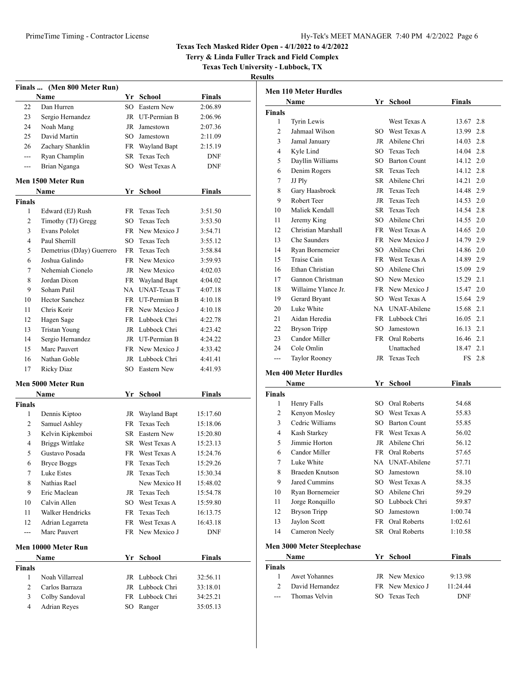**Terry & Linda Fuller Track and Field Complex**

**Texas Tech University - Lubbock, TX**

|               | Finals  (Men 800 Meter Run)      |        |                                  |               |  |
|---------------|----------------------------------|--------|----------------------------------|---------------|--|
|               | Name                             |        | Yr School                        | Finals        |  |
| 22            | Dan Hurren                       | $SO^-$ | Eastern New                      | 2:06.89       |  |
| 23            | Sergio Hernandez                 |        | JR UT-Permian B                  | 2:06.96       |  |
| 24            | Noah Mang                        |        | JR Jamestown                     | 2:07.36       |  |
| 25            | David Martin                     |        | SO Jamestown                     | 2:11.09       |  |
| 26            | Zachary Shanklin                 |        | FR Wayland Bapt                  | 2:15.19       |  |
| ---           | Ryan Champlin                    |        | SR Texas Tech                    | DNF           |  |
| ---           | Brian Nganga                     |        | SO West Texas A                  | DNF           |  |
|               | Men 1500 Meter Run               |        |                                  |               |  |
|               | Name                             |        | Yr School                        | Finals        |  |
| <b>Finals</b> |                                  |        |                                  |               |  |
| 1             | Edward (EJ) Rush                 | FR     | Texas Tech                       | 3:51.50       |  |
| 2             | Timothy (TJ) Gregg               | SO     | Texas Tech                       | 3:53.50       |  |
| 3             | Evans Pololet                    |        | FR New Mexico J                  | 3:54.71       |  |
| 4             | Paul Sherrill                    |        | SO Texas Tech                    | 3:55.12       |  |
| 5             | Demetrius (DJay) Guerrero        |        | FR Texas Tech                    | 3:58.84       |  |
| 6             | Joshua Galindo                   |        | FR New Mexico                    | 3:59.93       |  |
| 7             | Nehemiah Cionelo                 |        | JR New Mexico                    | 4:02.03       |  |
| 8             | Jordan Dixon                     |        | FR Wayland Bapt                  | 4:04.02       |  |
| 9             | Soham Patil                      |        | NA UNAT-Texas T                  | 4:07.18       |  |
| 10            | <b>Hector Sanchez</b>            |        | FR UT-Permian B                  | 4:10.18       |  |
| 11            | Chris Korir                      |        | FR New Mexico J                  | 4:10.18       |  |
| 12            | Hagen Sage                       |        | FR Lubbock Chri                  | 4:22.78       |  |
| 13            | <b>Tristan Young</b>             |        | JR Lubbock Chri                  | 4:23.42       |  |
| 14            | Sergio Hernandez                 |        | JR UT-Permian B                  | 4:24.22       |  |
| 15            | Marc Pauvert                     |        | FR New Mexico J                  | 4:33.42       |  |
| 16            | Nathan Goble                     |        | JR Lubbock Chri                  | 4:41.41       |  |
| 17            | Ricky Diaz                       |        | SO Eastern New                   | 4:41.93       |  |
|               |                                  |        |                                  |               |  |
|               | Men 5000 Meter Run               |        |                                  |               |  |
|               | Name                             |        | Yr School                        | <b>Finals</b> |  |
| <b>Finals</b> |                                  |        |                                  |               |  |
| 1             | Dennis Kiptoo                    |        | JR Wayland Bapt                  | 15:17.60      |  |
| 2             | Samuel Ashley                    |        | FR Texas Tech                    | 15:18.06      |  |
| 3             | Kelvin Kipkemboi                 |        | SR Eastern New                   | 15:20.80      |  |
| 4             | <b>Briggs Wittlake</b>           |        | SR West Texas A                  | 15:23.13      |  |
| 5             | Gustavo Posada                   |        | FR West Texas A                  | 15:24.76      |  |
| 6             | <b>Bryce Boggs</b>               | FR     | Texas Tech                       | 15:29.26      |  |
| 7             | Luke Estes                       |        | JR Texas Tech                    | 15:30.34      |  |
| 8             | Nathias Rael                     |        | New Mexico H                     | 15:48.02      |  |
| 9             | Eric Maclean                     | JR     | Texas Tech                       | 15:54.78      |  |
| 10            | Calvin Allen                     |        | SO West Texas A<br>FR Texas Tech | 15:59.80      |  |
| 11            | Walker Hendricks                 |        |                                  | 16:13.75      |  |
| 12            | Adrian Legarreta<br>Marc Pauvert |        | FR West Texas A                  | 16:43.18      |  |
| ---           |                                  |        | FR New Mexico J                  | DNF           |  |
|               | Men 10000 Meter Run              |        |                                  |               |  |
|               | Name                             |        | Yr School                        | <b>Finals</b> |  |
| Finals        |                                  |        |                                  |               |  |
| 1             | Noah Villarreal                  |        | JR Lubbock Chri                  | 32:56.11      |  |
| 2             | Carlos Barraza                   | JR     | Lubbock Chri                     | 33:18.01      |  |
| 3             | Colby Sandoval                   | FR     | Lubbock Chri                     | 34:25.21      |  |
| 4             | <b>Adrian Reyes</b>              | SO     | Ranger                           | 35:05.13      |  |
|               |                                  |        |                                  |               |  |

| <b>Men 110 Meter Hurdles</b> |                                    |     |                 |               |  |  |  |  |
|------------------------------|------------------------------------|-----|-----------------|---------------|--|--|--|--|
|                              | Name                               |     | Yr School       | <b>Finals</b> |  |  |  |  |
| <b>Finals</b>                |                                    |     |                 |               |  |  |  |  |
| 1                            | Tyrin Lewis                        |     | West Texas A    | 13.67 2.8     |  |  |  |  |
| 2                            | Jahmaal Wilson                     |     | SO West Texas A | 13.99 2.8     |  |  |  |  |
| 3                            | Jamal Januarv                      |     | JR Abilene Chri | 14.03 2.8     |  |  |  |  |
| 4                            | Kyle Lind                          |     | SO Texas Tech   | 14.04 2.8     |  |  |  |  |
| 5                            | Dayllin Williams                   |     | SO Barton Count | 14.12 2.0     |  |  |  |  |
| 6                            | Denim Rogers                       |     | SR Texas Tech   | 14.12 2.8     |  |  |  |  |
| 7                            | JJ Ply                             |     | SR Abilene Chri | 2.0<br>14.21  |  |  |  |  |
| 8                            | Gary Haasbroek                     |     | JR Texas Tech   | 14.48 2.9     |  |  |  |  |
| 9                            | Robert Teer                        |     | JR Texas Tech   | 14.53 2.0     |  |  |  |  |
| 10                           | Maliek Kendall                     |     | SR Texas Tech   | 14.54 2.8     |  |  |  |  |
| 11                           | Jeremy King                        |     | SO Abilene Chri | 14.55 2.0     |  |  |  |  |
| 12                           | Christian Marshall                 |     | FR West Texas A | 14.65 2.0     |  |  |  |  |
| 13                           | Che Saunders                       |     | FR New Mexico J | 14.79 2.9     |  |  |  |  |
| 14                           | Ryan Bornemeier                    |     | SO Abilene Chri | 14.86 2.0     |  |  |  |  |
| 15                           | Traise Cain                        |     | FR West Texas A | 14.89 2.9     |  |  |  |  |
| 16                           | Ethan Christian                    |     | SO Abilene Chri | 15.09 2.9     |  |  |  |  |
| 17                           | Gannon Christman                   |     | SO New Mexico   | 15.29 2.1     |  |  |  |  |
| 18                           | Willaime Ylance Jr.                |     | FR New Mexico J | 15.47 2.0     |  |  |  |  |
| 19                           | Gerard Bryant                      |     | SO West Texas A | 15.64 2.9     |  |  |  |  |
| 20                           | Luke White                         |     | NA UNAT-Abilene | 15.68 2.1     |  |  |  |  |
| 21                           | Aidan Heredia                      |     | FR Lubbock Chri | 16.05 2.1     |  |  |  |  |
| 22                           | <b>Bryson Tripp</b>                |     | SO Jamestown    | 16.13 2.1     |  |  |  |  |
| 23                           | Candor Miller                      |     | FR Oral Roberts | 16.46 2.1     |  |  |  |  |
| 24                           | Cole Omlin                         |     | Unattached      | 18.47<br>2.1  |  |  |  |  |
| ---                          | Taylor Rooney                      |     | JR Texas Tech   | FS 2.8        |  |  |  |  |
|                              | <b>Men 400 Meter Hurdles</b>       |     |                 |               |  |  |  |  |
|                              | Name                               |     | Yr School       | Finals        |  |  |  |  |
| Finals                       |                                    |     |                 |               |  |  |  |  |
| 1                            | Henry Falls                        |     | SO Oral Roberts | 54.68         |  |  |  |  |
| 2                            | Kenyon Mosley                      |     | SO West Texas A | 55.83         |  |  |  |  |
| 3                            | Cedric Williams                    |     | SO Barton Count | 55.85         |  |  |  |  |
| 4                            | Kash Starkey                       |     | FR West Texas A | 56.02         |  |  |  |  |
| 5                            | Jimmie Horton                      |     | JR Abilene Chri | 56.12         |  |  |  |  |
| 6                            | Candor Miller                      |     | FR Oral Roberts | 57.65         |  |  |  |  |
| 7                            | Luke White                         |     | NA UNAT-Abilene | 57.71         |  |  |  |  |
| 8                            | Braeden Knutson                    | SO  | Jamestown       | 58.10         |  |  |  |  |
| 9                            | Jared Cummins                      | SO  | West Texas A    | 58.35         |  |  |  |  |
| 10                           | Ryan Bornemeier                    | SO. | Abilene Chri    | 59.29         |  |  |  |  |
| 11                           | Jorge Ronquillo                    |     | SO Lubbock Chri | 59.87         |  |  |  |  |
| 12                           | <b>Bryson Tripp</b>                | SO  | Jamestown       | 1:00.74       |  |  |  |  |
| 13                           | Jaylon Scott                       |     | FR Oral Roberts | 1:02.61       |  |  |  |  |
| 14                           | Cameron Neely                      |     | SR Oral Roberts | 1:10.58       |  |  |  |  |
|                              | Men 3000 Meter Steeplechase        |     |                 |               |  |  |  |  |
|                              | Yr School<br><b>Finals</b><br>Name |     |                 |               |  |  |  |  |

| Name          |                 | Yr School              | <b>Finals</b> |  |  |
|---------------|-----------------|------------------------|---------------|--|--|
| <b>Finals</b> |                 |                        |               |  |  |
|               | Awet Yohannes   | JR New Mexico          | 9:13.98       |  |  |
|               | David Hernandez | <b>FR</b> New Mexico J | 11:24.44      |  |  |
| $---$         | Thomas Velvin   | SO Texas Tech          | <b>DNF</b>    |  |  |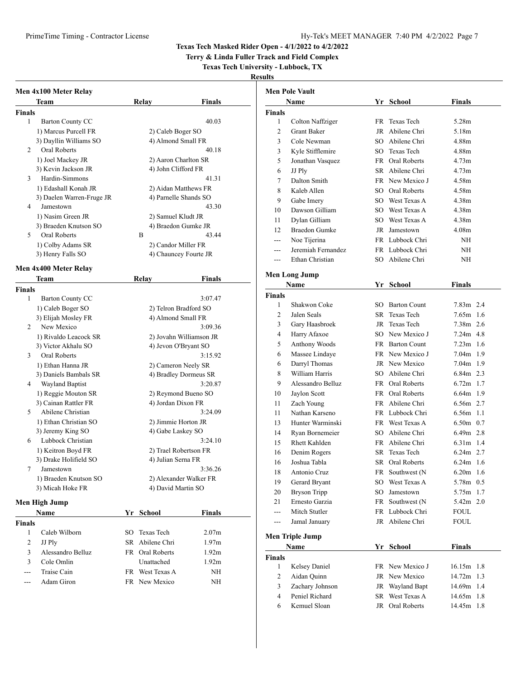**Terry & Linda Fuller Track and Field Complex**

## **Texas Tech University - Lubbock, TX**

|               | Men 4x100 Meter Relay                       |                                           |               |                        | <b>Men Pole Vault</b>        |     |                 |               |  |
|---------------|---------------------------------------------|-------------------------------------------|---------------|------------------------|------------------------------|-----|-----------------|---------------|--|
|               | <b>Team</b>                                 | Relay                                     | Finals        |                        | Name                         |     | Yr School       | Finals        |  |
| <b>Finals</b> |                                             |                                           |               | Finals                 |                              |     |                 |               |  |
| $\mathbf{1}$  | <b>Barton County CC</b>                     |                                           | 40.03         | $\mathbf{1}$           | Colton Naffziger             |     | FR Texas Tech   | 5.28m         |  |
|               | 1) Marcus Purcell FR                        | 2) Caleb Boger SO                         |               | $\overline{c}$         | Grant Baker                  |     | JR Abilene Chri | 5.18m         |  |
|               | 3) Dayllin Williams SO                      | 4) Almond Small FR                        |               | 3                      | Cole Newman                  |     | SO Abilene Chri | 4.88m         |  |
| 2             | Oral Roberts                                |                                           | 40.18         | 3                      | Kyle Stifflemire             |     | SO Texas Tech   | 4.88m         |  |
|               | 1) Joel Mackey JR                           | 2) Aaron Charlton SR                      |               | 5                      | Jonathan Vasquez             |     | FR Oral Roberts | 4.73m         |  |
|               | 3) Kevin Jackson JR                         | 4) John Clifford FR                       |               | 6                      | JJ Ply                       |     | SR Abilene Chri | 4.73m         |  |
| 3             | Hardin-Simmons                              |                                           | 41.31         | 7                      | Dalton Smith                 |     | FR New Mexico J | 4.58m         |  |
|               | 1) Edashall Konah JR                        | 2) Aidan Matthews FR                      |               | 8                      | Kaleb Allen                  | SO. | Oral Roberts    | 4.58m         |  |
|               | 3) Daelen Warren-Fruge JR                   | 4) Parnelle Shands SO                     |               | 9                      | Gabe Imery                   |     | SO West Texas A | 4.38m         |  |
| 4             | Jamestown                                   |                                           | 43.30         | 10                     | Dawson Gilliam               | SO. | West Texas A    | 4.38m         |  |
|               | 1) Nasim Green JR                           | 2) Samuel Kludt JR                        |               |                        | Dylan Gilliam                | SO. | West Texas A    | 4.38m         |  |
|               | 3) Braeden Knutson SO                       | 4) Braedon Gumke JR                       |               | 11                     |                              |     |                 |               |  |
| 5             | Oral Roberts                                | B                                         | 43.44         | 12                     | <b>Braedon Gumke</b>         |     | JR Jamestown    | 4.08m         |  |
|               | 1) Colby Adams SR                           | 2) Candor Miller FR                       |               | $\qquad \qquad -$      | Noe Tijerina                 |     | FR Lubbock Chri | NH            |  |
|               | 3) Henry Falls SO                           | 4) Chauncey Fourte JR                     |               | $---$                  | Jeremiah Fernandez           |     | FR Lubbock Chri | NH            |  |
|               |                                             |                                           |               | ---                    | Ethan Christian              |     | SO Abilene Chri | <b>NH</b>     |  |
|               | Men 4x400 Meter Relay<br>Team               | Relay                                     | <b>Finals</b> |                        | <b>Men Long Jump</b>         |     |                 |               |  |
| <b>Finals</b> |                                             |                                           |               |                        | Name                         |     | Yr School       | <b>Finals</b> |  |
| 1             | Barton County CC                            |                                           | 3:07.47       | <b>Finals</b>          |                              |     |                 |               |  |
|               | 1) Caleb Boger SO                           | 2) Telron Bradford SO                     |               | 1                      | Shakwon Coke                 |     | SO Barton Count | $7.83m$ 2.4   |  |
|               |                                             |                                           |               | $\overline{2}$         | Jalen Seals                  |     | SR Texas Tech   | $7.65m$ 1.6   |  |
| 2             | 3) Elijah Mosley FR<br>New Mexico           | 4) Almond Small FR                        | 3:09.36       | 3                      | Gary Haasbroek               |     | JR Texas Tech   | 7.38m 2.6     |  |
|               | 1) Rivaldo Leacock SR                       | 2) Jovahn Williamson JR                   |               | 4                      | Harry Afaxoe                 |     | SO New Mexico J | $7.24m$ 4.8   |  |
|               | 3) Victor Akhalu SO                         | 4) Jevon O'Bryant SO                      |               | 5                      | Anthony Woods                |     | FR Barton Count | $7.23m$ 1.6   |  |
| 3             | Oral Roberts                                |                                           | 3:15.92       | 6                      | Massee Lindaye               |     | FR New Mexico J | $7.04m$ 1.9   |  |
|               | 1) Ethan Hanna JR                           | 2) Cameron Neely SR                       |               | 6                      | Darryl Thomas                |     | JR New Mexico   | 7.04m 1.9     |  |
|               | 3) Daniels Bambals SR                       | 4) Bradley Dormeus SR                     |               | 8                      | William Harris               |     | SO Abilene Chri | 6.84m 2.3     |  |
| 4             | <b>Wayland Baptist</b>                      |                                           | 3:20.87       | 9                      | Alessandro Belluz            |     | FR Oral Roberts | 6.72m 1.7     |  |
|               |                                             |                                           |               | 10                     | Jaylon Scott                 |     | FR Oral Roberts | 6.64m 1.9     |  |
|               | 1) Reggie Mouton SR<br>3) Cainan Rattler FR | 2) Reymond Bueno SO<br>4) Jordan Dixon FR |               |                        |                              |     |                 | 6.56m 2.7     |  |
| 5             | Abilene Christian                           |                                           | 3:24.09       | 11                     | Zach Young<br>Nathan Karseno |     | FR Abilene Chri |               |  |
|               | 1) Ethan Christian SO                       | 2) Jimmie Horton JR                       |               | 11                     |                              |     | FR Lubbock Chri | 6.56m 1.1     |  |
|               | 3) Jeremy King SO                           | 4) Gabe Laskey SO                         |               | 13                     | Hunter Warminski             |     | FR West Texas A | 6.50m 0.7     |  |
| 6             | Lubbock Christian                           |                                           | 3:24.10       | 14                     | Ryan Bornemeier              |     | SO Abilene Chri | 6.49m 2.8     |  |
|               | 1) Keitron Boyd FR                          | 2) Trael Robertson FR                     |               | 15                     | <b>Rhett Kahlden</b>         |     | FR Abilene Chri | 6.31m 1.4     |  |
|               | 3) Drake Holifield SO                       | 4) Julian Serna FR                        |               | 16                     | Denim Rogers                 |     | SR Texas Tech   | 6.24m 2.7     |  |
| 7             | Jamestown                                   |                                           | 3:36.26       | 16                     | Joshua Tabla                 |     | SR Oral Roberts | $6.24m$ 1.6   |  |
|               | 1) Braeden Knutson SO                       | 2) Alexander Walker FR                    |               | 18                     | Antonio Cruz                 |     | FR Southwest (N | $6.20m$ 1.6   |  |
|               | 3) Micah Hoke FR                            | 4) David Martin SO                        |               | 19                     | Gerard Bryant                |     | SO West Texas A | 5.78m 0.5     |  |
|               |                                             |                                           |               | 20                     | <b>Bryson Tripp</b>          |     | SO Jamestown    | 5.75m 1.7     |  |
|               | Men High Jump                               |                                           |               | 21                     | Ernesto Garzia               |     | FR Southwest (N | 5.42m 2.0     |  |
|               | Name                                        | Yr School                                 | <b>Finals</b> | $\qquad \qquad \cdots$ | Mitch Stutler                |     | FR Lubbock Chri | <b>FOUL</b>   |  |
| <b>Finals</b> |                                             |                                           |               | ---                    | Jamal January                |     | JR Abilene Chri | <b>FOUL</b>   |  |
| 1             | Caleb Wilborn                               | SO Texas Tech                             | 2.07m         |                        |                              |     |                 |               |  |
| 2             | JJ Ply                                      | SR Abilene Chri                           | 1.97m         |                        | <b>Men Triple Jump</b>       |     |                 |               |  |
| 3             | Alessandro Belluz                           | FR Oral Roberts                           | 1.92m         |                        | Name                         |     | Yr School       | <b>Finals</b> |  |
| 3             | Cole Omlin                                  | Unattached                                | 1.92m         | <b>Finals</b>          |                              |     |                 |               |  |
| ---           | Traise Cain                                 | FR West Texas A                           | NH            | $\mathbf{1}$           | Kelsey Daniel                |     | FR New Mexico J | $16.15m$ 1.8  |  |
| $---$         | Adam Giron                                  | FR New Mexico                             | $\rm{NH}$     | $\overline{c}$         | Aidan Quinn                  |     | JR New Mexico   | 14.72m 1.3    |  |
|               |                                             |                                           |               | 3                      | Zachary Johnson              |     | JR Wayland Bapt | 14.69m 1.4    |  |
|               |                                             |                                           |               | 4                      | Peniel Richard               |     | SR West Texas A | 14.65m 1.8    |  |
|               |                                             |                                           |               |                        |                              |     |                 |               |  |